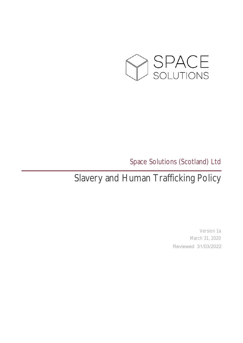

## Space Solutions (Scotland) Ltd

# Slavery and Human Trafficking Policy

Version 1a March 31, 2020 Reviewed 31/03/2022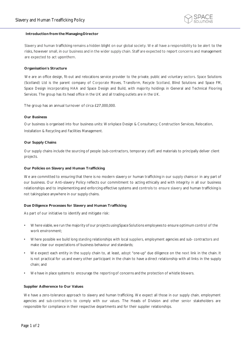

#### **Introduction fromthe Managing Director**

Slavery and human trafficking remains a hidden blight on our global society. We all have a responsibility to be alert to the risks, however small, in our business and in the wider supply chain. Staff are expected to report concerns and management are expected to act uponthem.

### **Organisation's Structure**

We are an office design, fit-out and relocations service provider to the private, public and voluntary sectors. Space Solutions (Scotland) Ltd is the parent company of Corporate Moves, Transform, Recycle Scotland, Blind Solutions and Space FM, Space Design incorporating HAA and Space Design and Build, with majority holdings in General and Technical Flooring Services. The group has its head office in the UK and all trading outlets are in the UK.

The group has an annual turnover of circa £27,000,000.

#### **Our Business**

Our business is organised into four business units: Workplace Design & Consultancy; Construction Services, Relocation, Installation & Recycling and Facilities Management.

#### **Our Supply Chains**

Our supply chains include the sourcing of people (sub-contractors, temporary staff) and materials to principally deliver client projects.

#### **Our Policies on Slavery and Human Trafficking**

We are committed to ensuring that there is no modern slavery or human trafficking in our supply chains or in any part of our business. Our Anti-slavery Policy reflects our commitment to acting ethically and with integrity in all our business relationships and to implementing and enforcing effective systems and controls to ensure slavery and human trafficking is not taking place anywhere in our supply chains.

#### **Due Diligence Processes for Slavery and Human Trafficking**

As part of our initiative to identify and mitigate risk:

- Where viable,we run the majority of our projects usingSpace Solutions employeesto ensure optimum control of the work environment;
- Where possible we build long standing relationships with local suppliers, employment agencies and sub- contractors and make clear our expectations of business behaviour and standards;
- We expect each entity in the supply chain to, at least, adopt "one-up" due diligence on the next link in the chain. It is not practical for us and every other participant in the chain to have a direct relationship with all links in the supply chain; and
- We have in place systems to encourage the reporting of concerns and the protection of whistle blowers.

#### **Supplier Adherence to Our Values**

We have a zero-tolerance approach to slavery and human trafficking. We expect all those in our supply chain, employment agencies and sub-contractors to comply with our values. The Heads of Division and other senior stakeholders are responsible for compliance in their respective departments and for their supplier relationships.